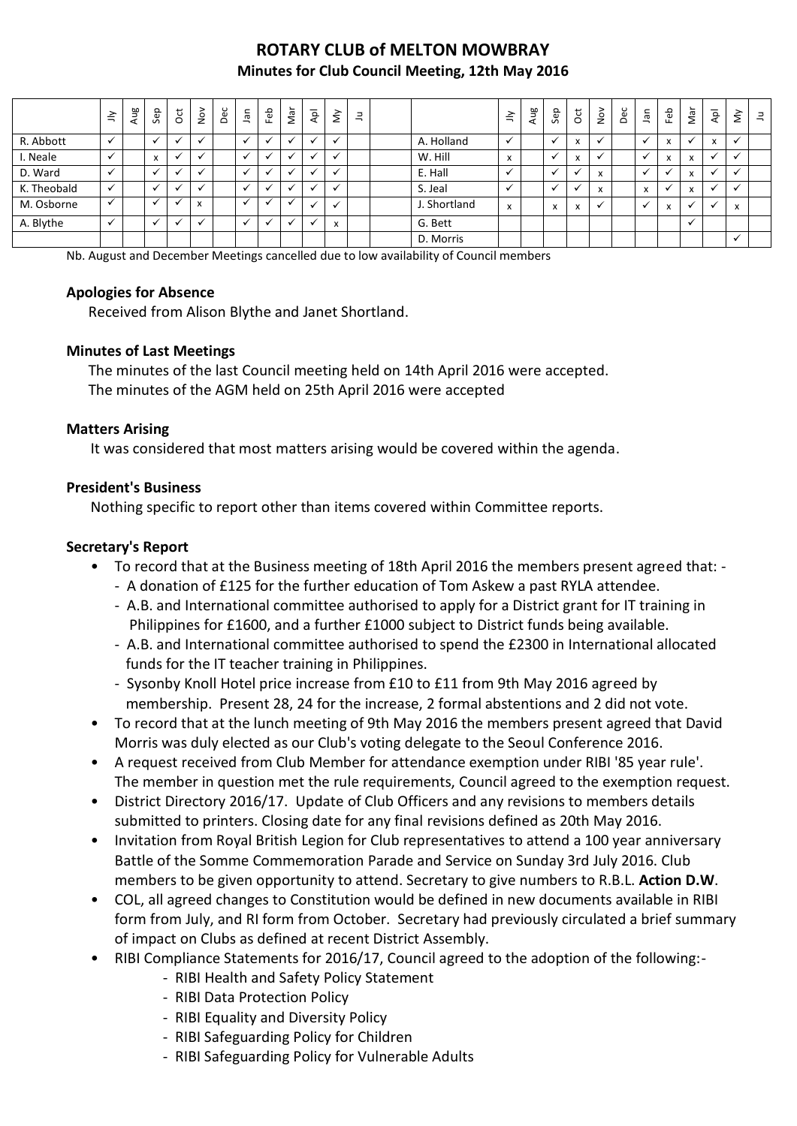# **ROTARY CLUB of MELTON MOWBRAY Minutes for Club Council Meeting, 12th May 2016**

|             | $\leq$       | Aug | Sep                       | $\overline{5}$ | $\frac{8}{2}$             | Dec | ngl     | Feb                      | Nar | $\overline{A}$       | $\grave{\leq}$           | 킄 |              | $\leq$                               | Ρã<br>$\bar{a}$ | Sep          | 5 | $\stackrel{\textstyle\circ}{\textstyle\circ}$ | Dec | <b>Jan</b>   | Feb          | Nar                       | $\bar{\mathsf{A}}$       | š | $\exists$ |
|-------------|--------------|-----|---------------------------|----------------|---------------------------|-----|---------|--------------------------|-----|----------------------|--------------------------|---|--------------|--------------------------------------|-----------------|--------------|---|-----------------------------------------------|-----|--------------|--------------|---------------------------|--------------------------|---|-----------|
| R. Abbott   | $\checkmark$ |     |                           | $\cdot$        |                           |     |         |                          |     | $\ddot{\phantom{0}}$ |                          |   | A. Holland   |                                      |                 |              | X |                                               |     |              |              |                           | X                        |   |           |
| I. Neale    | $\checkmark$ |     | $\mathbf{v}$<br>$\lambda$ | $\cdot$        |                           |     |         |                          |     | $\ddot{\phantom{0}}$ |                          |   | W. Hill      | $\overline{\mathbf{z}}$<br>$\lambda$ |                 |              |   |                                               |     |              | X            | $\mathbf{v}$<br>$\lambda$ | $\overline{ }$           |   |           |
| D. Ward     |              |     |                           | $\cdot$        |                           |     |         |                          |     |                      |                          |   | E. Hall      |                                      |                 |              |   | $\mathbf{v}$<br>$\lambda$                     |     |              |              | $\mathbf{v}$<br>$\lambda$ | Ä.                       |   |           |
| K. Theobald | $\checkmark$ |     |                           | $\cdot$        |                           |     |         | $\overline{\phantom{a}}$ |     | $\ddot{\phantom{0}}$ | $\overline{\phantom{a}}$ |   | S. Jeal      |                                      |                 |              |   | $\mathbf{v}$<br>$\lambda$                     |     | $\mathbf{v}$ |              | $\mathbf{v}$              | $\overline{\phantom{a}}$ |   |           |
| M. Osborne  | $\checkmark$ |     | $\overline{\phantom{a}}$  | v              | $\mathbf{v}$<br>$\lambda$ |     | $\cdot$ | $\cdot$                  |     | $\ddot{\phantom{0}}$ |                          |   | J. Shortland | x                                    |                 | $\mathbf{v}$ | x |                                               |     |              | $\mathbf{v}$ |                           | $\ddot{\phantom{a}}$     | X |           |
| A. Blythe   | $\checkmark$ |     |                           | $\checkmark$   |                           |     |         | $\cdot$                  |     |                      | x                        |   | G. Bett      |                                      |                 |              |   |                                               |     |              |              |                           |                          |   |           |
|             |              |     |                           |                |                           |     |         |                          |     |                      |                          |   | D. Morris    |                                      |                 |              |   |                                               |     |              |              |                           |                          |   |           |

Nb. August and December Meetings cancelled due to low availability of Council members

#### **Apologies for Absence**

Received from Alison Blythe and Janet Shortland.

#### **Minutes of Last Meetings**

The minutes of the last Council meeting held on 14th April 2016 were accepted. The minutes of the AGM held on 25th April 2016 were accepted

#### **Matters Arising**

It was considered that most matters arising would be covered within the agenda.

#### **President's Business**

Nothing specific to report other than items covered within Committee reports.

#### **Secretary's Report**

- To record that at the Business meeting of 18th April 2016 the members present agreed that:
	- A donation of £125 for the further education of Tom Askew a past RYLA attendee.
	- A.B. and International committee authorised to apply for a District grant for IT training in Philippines for £1600, and a further £1000 subject to District funds being available.
	- A.B. and International committee authorised to spend the £2300 in International allocated funds for the IT teacher training in Philippines.
	- Sysonby Knoll Hotel price increase from £10 to £11 from 9th May 2016 agreed by membership. Present 28, 24 for the increase, 2 formal abstentions and 2 did not vote.
- To record that at the lunch meeting of 9th May 2016 the members present agreed that David Morris was duly elected as our Club's voting delegate to the Seoul Conference 2016.
- A request received from Club Member for attendance exemption under RIBI '85 year rule'. The member in question met the rule requirements, Council agreed to the exemption request.
- District Directory 2016/17. Update of Club Officers and any revisions to members details submitted to printers. Closing date for any final revisions defined as 20th May 2016.
- Invitation from Royal British Legion for Club representatives to attend a 100 year anniversary Battle of the Somme Commemoration Parade and Service on Sunday 3rd July 2016. Club members to be given opportunity to attend. Secretary to give numbers to R.B.L. **Action D.W**.
- COL, all agreed changes to Constitution would be defined in new documents available in RIBI form from July, and RI form from October. Secretary had previously circulated a brief summary of impact on Clubs as defined at recent District Assembly.
- RIBI Compliance Statements for 2016/17, Council agreed to the adoption of the following:-
	- RIBI Health and Safety Policy Statement
	- RIBI Data Protection Policy
	- RIBI Equality and Diversity Policy
	- RIBI Safeguarding Policy for Children
	- RIBI Safeguarding Policy for Vulnerable Adults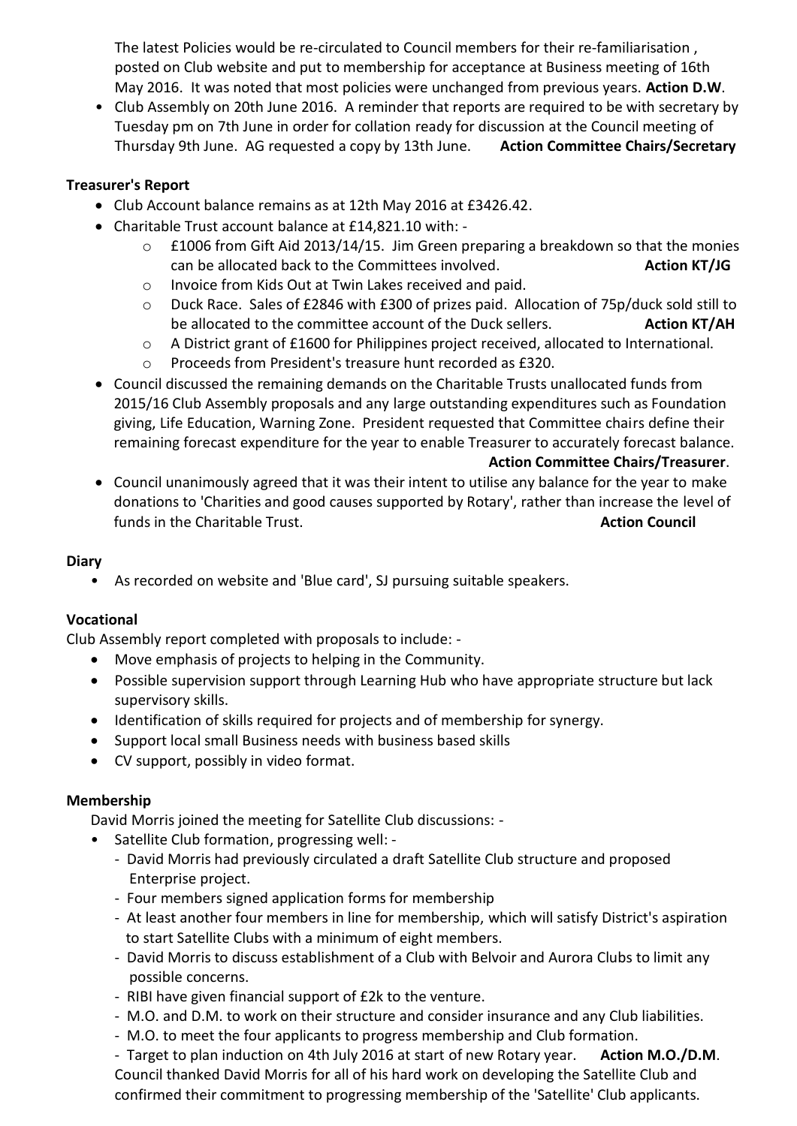The latest Policies would be re-circulated to Council members for their re-familiarisation , posted on Club website and put to membership for acceptance at Business meeting of 16th May 2016. It was noted that most policies were unchanged from previous years. **Action D.W**.

• Club Assembly on 20th June 2016. A reminder that reports are required to be with secretary by Tuesday pm on 7th June in order for collation ready for discussion at the Council meeting of Thursday 9th June. AG requested a copy by 13th June. **Action Committee Chairs/Secretary** 

# **Treasurer's Report**

- Club Account balance remains as at 12th May 2016 at £3426.42.
- Charitable Trust account balance at £14,821.10 with:
	- o £1006 from Gift Aid 2013/14/15. Jim Green preparing a breakdown so that the monies can be allocated back to the Committees involved. **Action KT/JG**
	- o Invoice from Kids Out at Twin Lakes received and paid.
	- o Duck Race. Sales of £2846 with £300 of prizes paid. Allocation of 75p/duck sold still to be allocated to the committee account of the Duck sellers. **Action KT/AH**
	- o A District grant of £1600 for Philippines project received, allocated to International.
	- o Proceeds from President's treasure hunt recorded as £320.
- Council discussed the remaining demands on the Charitable Trusts unallocated funds from 2015/16 Club Assembly proposals and any large outstanding expenditures such as Foundation giving, Life Education, Warning Zone. President requested that Committee chairs define their remaining forecast expenditure for the year to enable Treasurer to accurately forecast balance.

#### **Action Committee Chairs/Treasurer**.

 Council unanimously agreed that it was their intent to utilise any balance for the year to make donations to 'Charities and good causes supported by Rotary', rather than increase the level of funds in the Charitable Trust. **Action Council Action Council Action Council** 

# **Diary**

• As recorded on website and 'Blue card', SJ pursuing suitable speakers.

# **Vocational**

Club Assembly report completed with proposals to include: -

- Move emphasis of projects to helping in the Community.
- Possible supervision support through Learning Hub who have appropriate structure but lack supervisory skills.
- Identification of skills required for projects and of membership for synergy.
- Support local small Business needs with business based skills
- CV support, possibly in video format.

# **Membership**

David Morris joined the meeting for Satellite Club discussions: -

- Satellite Club formation, progressing well:
	- David Morris had previously circulated a draft Satellite Club structure and proposed Enterprise project.
	- Four members signed application forms for membership
	- At least another four members in line for membership, which will satisfy District's aspiration to start Satellite Clubs with a minimum of eight members.
	- David Morris to discuss establishment of a Club with Belvoir and Aurora Clubs to limit any possible concerns.
	- RIBI have given financial support of £2k to the venture.
	- M.O. and D.M. to work on their structure and consider insurance and any Club liabilities.
	- M.O. to meet the four applicants to progress membership and Club formation.

- Target to plan induction on 4th July 2016 at start of new Rotary year. **Action M.O./D.M**. Council thanked David Morris for all of his hard work on developing the Satellite Club and confirmed their commitment to progressing membership of the 'Satellite' Club applicants.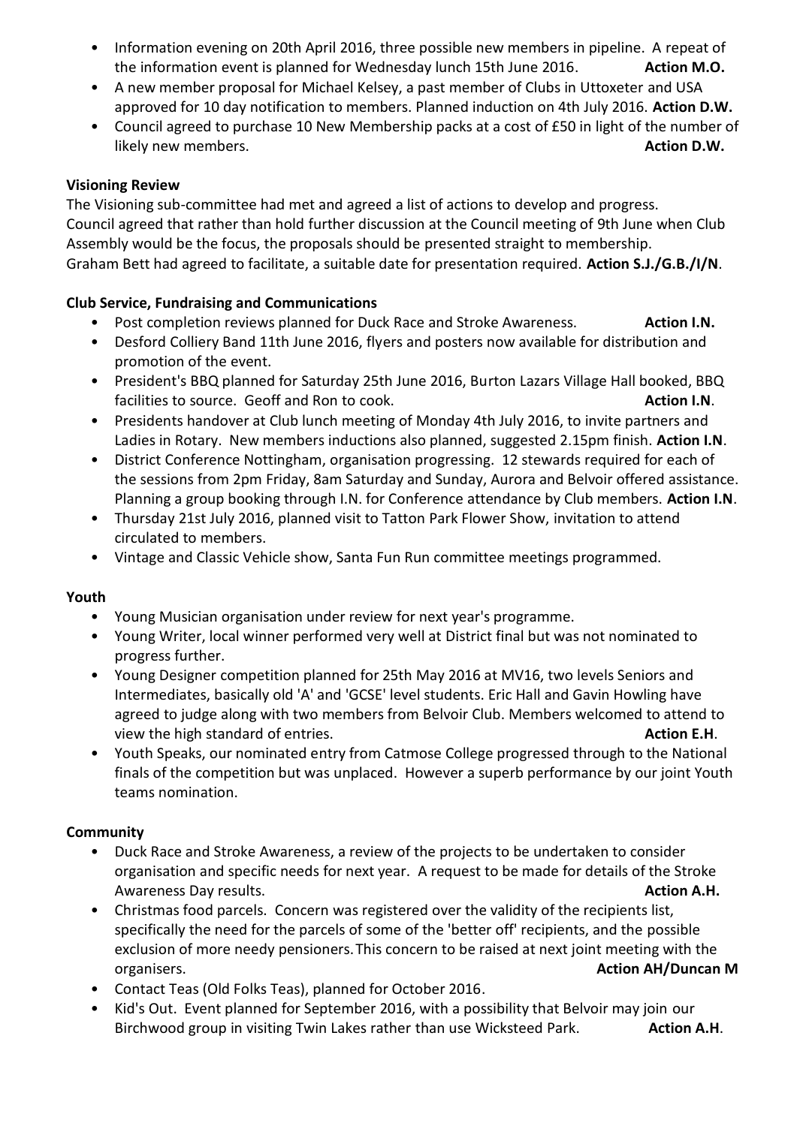- Information evening on 20th April 2016, three possible new members in pipeline. A repeat of the information event is planned for Wednesday lunch 15th June 2016. **Action M.O.**
- A new member proposal for Michael Kelsey, a past member of Clubs in Uttoxeter and USA approved for 10 day notification to members. Planned induction on 4th July 2016. **Action D.W.**
- Council agreed to purchase 10 New Membership packs at a cost of £50 in light of the number of **likely new members. Action D.W. Action D.W. Action D.W. Action D.W. Action D.W.**

# **Visioning Review**

The Visioning sub-committee had met and agreed a list of actions to develop and progress. Council agreed that rather than hold further discussion at the Council meeting of 9th June when Club Assembly would be the focus, the proposals should be presented straight to membership. Graham Bett had agreed to facilitate, a suitable date for presentation required. **Action S.J./G.B./I/N**.

# **Club Service, Fundraising and Communications**

- Post completion reviews planned for Duck Race and Stroke Awareness. **Action I.N.**
- Desford Colliery Band 11th June 2016, flyers and posters now available for distribution and promotion of the event.
- President's BBQ planned for Saturday 25th June 2016, Burton Lazars Village Hall booked, BBQ facilities to source. Geoff and Ron to cook. **Action I.N. Action I.N.**
- Presidents handover at Club lunch meeting of Monday 4th July 2016, to invite partners and Ladies in Rotary. New members inductions also planned, suggested 2.15pm finish. **Action I.N**.
- District Conference Nottingham, organisation progressing. 12 stewards required for each of the sessions from 2pm Friday, 8am Saturday and Sunday, Aurora and Belvoir offered assistance. Planning a group booking through I.N. for Conference attendance by Club members. **Action I.N**.
- Thursday 21st July 2016, planned visit to Tatton Park Flower Show, invitation to attend circulated to members.
- Vintage and Classic Vehicle show, Santa Fun Run committee meetings programmed.

# **Youth**

- Young Musician organisation under review for next year's programme.
- Young Writer, local winner performed very well at District final but was not nominated to progress further.
- Young Designer competition planned for 25th May 2016 at MV16, two levels Seniors and Intermediates, basically old 'A' and 'GCSE' level students. Eric Hall and Gavin Howling have agreed to judge along with two members from Belvoir Club. Members welcomed to attend to view the high standard of entries. **Action E.H**.
- Youth Speaks, our nominated entry from Catmose College progressed through to the National finals of the competition but was unplaced. However a superb performance by our joint Youth teams nomination.

# **Community**

- Duck Race and Stroke Awareness, a review of the projects to be undertaken to consider organisation and specific needs for next year. A request to be made for details of the Stroke Awareness Day results. **Action A.H. Action A.H. Action A.H. Action A.H. Action A.H.**
- Christmas food parcels. Concern was registered over the validity of the recipients list, specifically the need for the parcels of some of the 'better off' recipients, and the possible exclusion of more needy pensioners.This concern to be raised at next joint meeting with the organisers. **Action AH/Duncan M**
- Contact Teas (Old Folks Teas), planned for October 2016.
- Kid's Out. Event planned for September 2016, with a possibility that Belvoir may join our Birchwood group in visiting Twin Lakes rather than use Wicksteed Park. **Action A.H**.